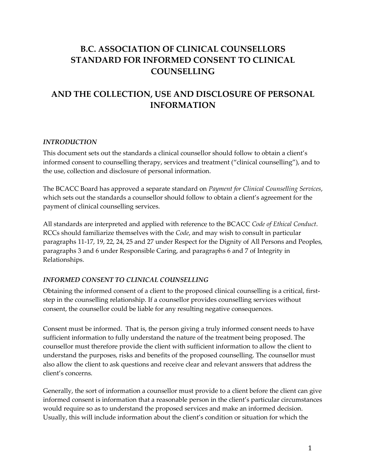# **B.C. ASSOCIATION OF CLINICAL COUNSELLORS STANDARD FOR INFORMED CONSENT TO CLINICAL COUNSELLING**

# **AND THE COLLECTION, USE AND DISCLOSURE OF PERSONAL INFORMATION**

#### *INTRODUCTION*

This document sets out the standards a clinical counsellor should follow to obtain a client's informed consent to counselling therapy, services and treatment ("clinical counselling"), and to the use, collection and disclosure of personal information.

The BCACC Board has approved a separate standard on *Payment for Clinical Counselling Services*, which sets out the standards a counsellor should follow to obtain a client's agreement for the payment of clinical counselling services.

All standards are interpreted and applied with reference to the BCACC *Code of Ethical Conduct*. RCCs should familiarize themselves with the *Code*, and may wish to consult in particular paragraphs 11-17, 19, 22, 24, 25 and 27 under Respect for the Dignity of All Persons and Peoples, paragraphs 3 and 6 under Responsible Caring, and paragraphs 6 and 7 of Integrity in Relationships.

#### *INFORMED CONSENT TO CLINICAL COUNSELLING*

Obtaining the informed consent of a client to the proposed clinical counselling is a critical, firststep in the counselling relationship. If a counsellor provides counselling services without consent, the counsellor could be liable for any resulting negative consequences.

Consent must be informed. That is, the person giving a truly informed consent needs to have sufficient information to fully understand the nature of the treatment being proposed. The counsellor must therefore provide the client with sufficient information to allow the client to understand the purposes, risks and benefits of the proposed counselling. The counsellor must also allow the client to ask questions and receive clear and relevant answers that address the client's concerns.

Generally, the sort of information a counsellor must provide to a client before the client can give informed consent is information that a reasonable person in the client's particular circumstances would require so as to understand the proposed services and make an informed decision. Usually, this will include information about the client's condition or situation for which the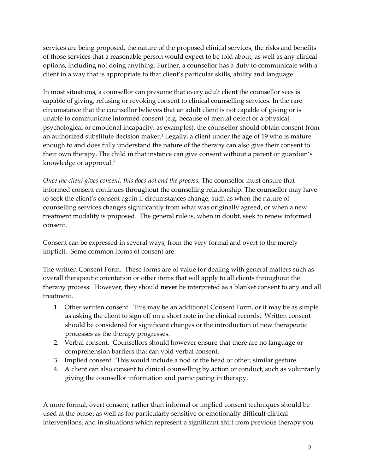services are being proposed, the nature of the proposed clinical services, the risks and benefits of those services that a reasonable person would expect to be told about, as well as any clinical options, including not doing anything. Further, a counsellor has a duty to communicate with a client in a way that is appropriate to that client's particular skills, ability and language.

In most situations, a counsellor can presume that every adult client the counsellor sees is capable of giving, refusing or revoking consent to clinical counselling services. In the rare circumstance that the counsellor believes that an adult client is not capable of giving or is unable to communicate informed consent (e.g. because of mental defect or a physical, psychological or emotional incapacity, as examples), the counsellor should obtain consent from an authorized substitute decision maker.<sup>1</sup> Legally, a client under the age of 19 who is mature enough to and does fully understand the nature of the therapy can also give their consent to their own therapy. The child in that instance can give consent without a parent or guardian's knowledge or approval.<sup>2</sup>

*Once the client gives consent, this does not end the process.* The counsellor must ensure that informed consent continues throughout the counselling relationship. The counsellor may have to seek the client's consent again if circumstances change, such as when the nature of counselling services changes significantly from what was originally agreed, or when a new treatment modality is proposed. The general rule is, when in doubt, seek to renew informed consent.

Consent can be expressed in several ways, from the very formal and overt to the merely implicit. Some common forms of consent are:

The written Consent Form. These forms are of value for dealing with general matters such as overall therapeutic orientation or other items that will apply to all clients throughout the therapy process. However, they should **never** be interpreted as a blanket consent to any and all treatment.

- 1. Other written consent. This may be an additional Consent Form, or it may be as simple as asking the client to sign off on a short note in the clinical records. Written consent should be considered for significant changes or the introduction of new therapeutic processes as the therapy progresses.
- 2. Verbal consent. Counsellors should however ensure that there are no language or comprehension barriers that can void verbal consent.
- 3. Implied consent. This would include a nod of the head or other, similar gesture.
- 4. A client can also consent to clinical counselling by action or conduct, such as voluntarily giving the counsellor information and participating in therapy.

A more formal, overt consent, rather than informal or implied consent techniques should be used at the outset as well as for particularly sensitive or emotionally difficult clinical interventions, and in situations which represent a significant shift from previous therapy you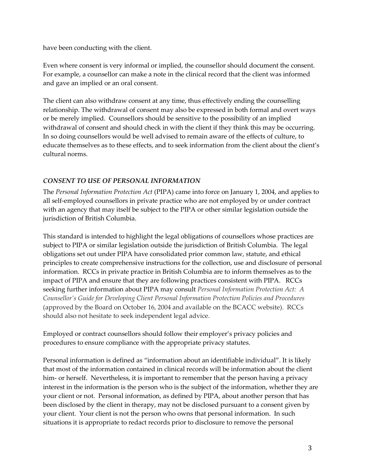have been conducting with the client.

Even where consent is very informal or implied, the counsellor should document the consent. For example, a counsellor can make a note in the clinical record that the client was informed and gave an implied or an oral consent.

The client can also withdraw consent at any time, thus effectively ending the counselling relationship. The withdrawal of consent may also be expressed in both formal and overt ways or be merely implied. Counsellors should be sensitive to the possibility of an implied withdrawal of consent and should check in with the client if they think this may be occurring. In so doing counsellors would be well advised to remain aware of the effects of culture, to educate themselves as to these effects, and to seek information from the client about the client's cultural norms.

### *CONSENT TO USE OF PERSONAL INFORMATION*

The *Personal Information Protection Act* (PIPA) came into force on January 1, 2004, and applies to all self-employed counsellors in private practice who are not employed by or under contract with an agency that may itself be subject to the PIPA or other similar legislation outside the jurisdiction of British Columbia.

This standard is intended to highlight the legal obligations of counsellors whose practices are subject to PIPA or similar legislation outside the jurisdiction of British Columbia. The legal obligations set out under PIPA have consolidated prior common law, statute, and ethical principles to create comprehensive instructions for the collection, use and disclosure of personal information. RCCs in private practice in British Columbia are to inform themselves as to the impact of PIPA and ensure that they are following practices consistent with PIPA. RCCs seeking further information about PIPA may consult *Personal Information Protection Act: A Counsellor's Guide for Developing Client Personal Information Protection Policies and Procedures* (approved by the Board on October 16, 2004 and available on the BCACC website). RCCs should also not hesitate to seek independent legal advice.

Employed or contract counsellors should follow their employer's privacy policies and procedures to ensure compliance with the appropriate privacy statutes.

Personal information is defined as "information about an identifiable individual". It is likely that most of the information contained in clinical records will be information about the client him- or herself. Nevertheless, it is important to remember that the person having a privacy interest in the information is the person who is the subject of the information, whether they are your client or not. Personal information, as defined by PIPA, about another person that has been disclosed by the client in therapy, may not be disclosed pursuant to a consent given by your client. Your client is not the person who owns that personal information. In such situations it is appropriate to redact records prior to disclosure to remove the personal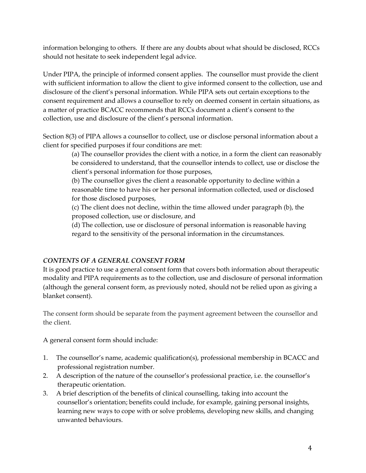information belonging to others. If there are any doubts about what should be disclosed, RCCs should not hesitate to seek independent legal advice.

Under PIPA, the principle of informed consent applies. The counsellor must provide the client with sufficient information to allow the client to give informed consent to the collection, use and disclosure of the client's personal information. While PIPA sets out certain exceptions to the consent requirement and allows a counsellor to rely on deemed consent in certain situations, as a matter of practice BCACC recommends that RCCs document a client's consent to the collection, use and disclosure of the client's personal information.

Section 8(3) of PIPA allows a counsellor to collect, use or disclose personal information about a client for specified purposes if four conditions are met:

> (a) The counsellor provides the client with a notice, in a form the client can reasonably be considered to understand, that the counsellor intends to collect, use or disclose the client's personal information for those purposes,

(b) The counsellor gives the client a reasonable opportunity to decline within a reasonable time to have his or her personal information collected, used or disclosed for those disclosed purposes,

(c) The client does not decline, within the time allowed under paragraph (b), the proposed collection, use or disclosure, and

(d) The collection, use or disclosure of personal information is reasonable having regard to the sensitivity of the personal information in the circumstances.

### *CONTENTS OF A GENERAL CONSENT FORM*

It is good practice to use a general consent form that covers both information about therapeutic modality and PIPA requirements as to the collection, use and disclosure of personal information (although the general consent form, as previously noted, should not be relied upon as giving a blanket consent).

The consent form should be separate from the payment agreement between the counsellor and the client.

A general consent form should include:

- 1. The counsellor's name, academic qualification(s), professional membership in BCACC and professional registration number.
- 2. A description of the nature of the counsellor's professional practice, i.e. the counsellor's therapeutic orientation.
- 3. A brief description of the benefits of clinical counselling, taking into account the counsellor's orientation; benefits could include, for example, gaining personal insights, learning new ways to cope with or solve problems, developing new skills, and changing unwanted behaviours.